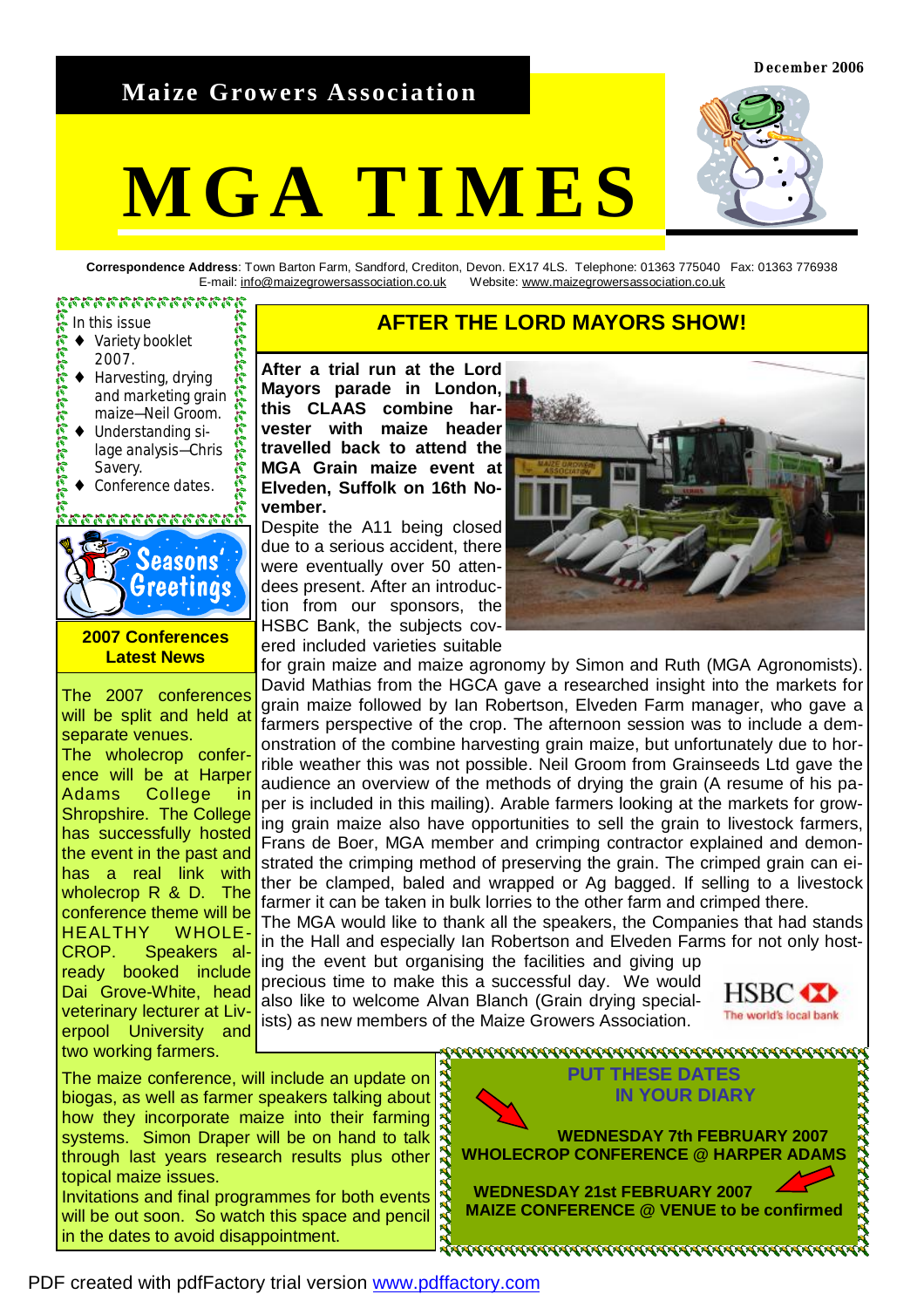**December 2006** 

# **Maize Growers Association**

# **MGA TIMES**



**Correspondence Address**: Town Barton Farm, Sandford, Crediton, Devon. EX17 4LS. Telephone: 01363 775040 Fax: 01363 776938 E-mail: [info@maizegrowersassociation.co.uk](mailto:info@maizegrowersassociation.co.uk) Website: [www.maizegrowersassociation.co.uk](http://www.maizegrowersassociation.co.uk)

#### ananananananan

- 
- ♦ Variety booklet
- 2007.
- ♦ Harvesting, drying  $\mathcal{E}$ and marketing grain maize—Neil Groom.
- Understanding silage analysis—Chris  $\mathbb{R}$ Savery.
- Conference dates.

## 2522333333



# **2007 Conferences Latest News**

The 2007 conferences will be split and held at separate venues. The wholecrop conference will be at Harper Adams College Shropshire. The College has successfully hosted the event in the past and has a real link with wholecrop R & D. The conference theme will be HEALTHY WHOLE-CROP. Speakers already booked include Dai Grove-White, head veterinary lecturer at Liverpool University and two working farmers.

# **AFTER THE LORD MAYORS SHOW!**<br>• Variety booklet **AFTER THE LORD MAYORS SHOW!**

**After a trial run at the Lord Mayors parade in London, this CLAAS combine harvester with maize header travelled back to attend the MGA Grain maize event at Elveden, Suffolk on 16th November.** 

Despite the A11 being closed due to a serious accident, there were eventually over 50 attendees present. After an introduction from our sponsors, the HSBC Bank, the subjects covered included varieties suitable



for grain maize and maize agronomy by Simon and Ruth (MGA Agronomists). David Mathias from the HGCA gave a researched insight into the markets for grain maize followed by Ian Robertson, Elveden Farm manager, who gave a farmers perspective of the crop. The afternoon session was to include a demonstration of the combine harvesting grain maize, but unfortunately due to horrible weather this was not possible. Neil Groom from Grainseeds Ltd gave the audience an overview of the methods of drying the grain (A resume of his paper is included in this mailing). Arable farmers looking at the markets for growing grain maize also have opportunities to sell the grain to livestock farmers, Frans de Boer, MGA member and crimping contractor explained and demonstrated the crimping method of preserving the grain. The crimped grain can either be clamped, baled and wrapped or Ag bagged. If selling to a livestock farmer it can be taken in bulk lorries to the other farm and crimped there. The MGA would like to thank all the speakers, the Companies that had stands in the Hall and especially Ian Robertson and Elveden Farms for not only hosting the event but organising the facilities and giving up precious time to make this a successful day. We would

also like to welcome Alvan Blanch (Grain drying specialists) as new members of the Maize Growers Association.



The maize conference, will include an update on biogas, as well as farmer speakers talking about how they incorporate maize into their farming systems. Simon Draper will be on hand to talk through last years research results plus other topical maize issues. Invitations and final programmes for both events

will be out soon. So watch this space and pencil in the dates to avoid disappointment.



<u> AAAAAAAAAAAAAAAAAAAAAAAAAAAAAAAAAA</u>